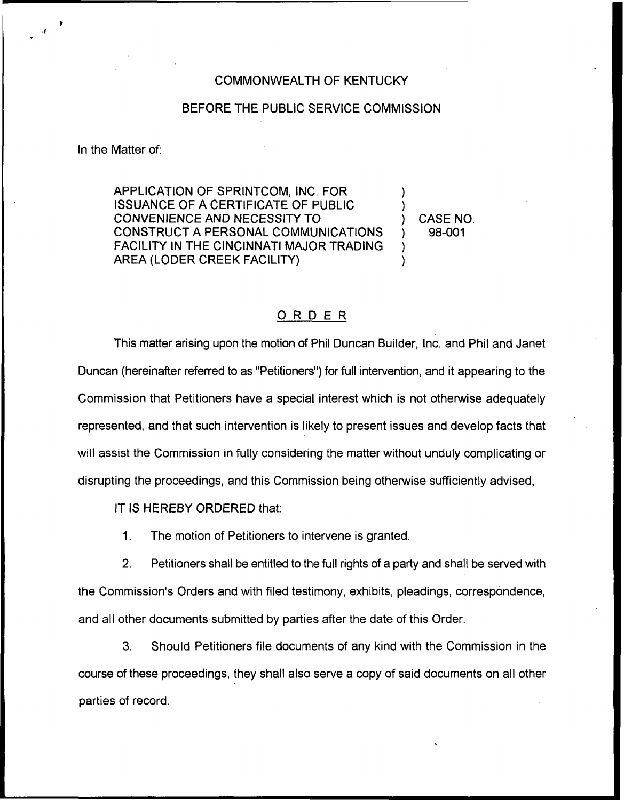## COMMONWEALTH OF KENTUCKY

## BEFORE THE PUBLIC SERVICE COMMISSION

In the Matter of:

APPLICATION OF SPRINTCOM, INC. FOR ISSUANCE OF A CERTIFICATE OF PUBLIC CONVENIENCE AND NECESSITY TO CONSTRUCT A PERSONAL COMMUNICATIONS FACILITY IN THE CINCINNATI MAJOR TRADING AREA (LODER CREEK FACILITY)

) CASE NO. ) 98-001

) )

) )

## ORDER

This matter arising upon the motion of Phil Duncan Builder, Inc. and Phil and Janet Duncan (hereinafter referred to as "Petitioners") for full intervention, and it appearing to the Commission that Petitioners have a special interest which is not otherwise adequately represented, and that such intervention is likely to present issues and develop facts that will assist the Commission in fully considering the matter without unduly complicating or disrupting the proceedings, and this Commission being otherwise sufficiently advised,

IT IS HEREBY ORDERED that:

1. The motion of Petitioners to intervene is granted.

2. Petitioners shall be entitled to the full rights of a party and shall be served with the Commission's Orders and with filed testimony, exhibits, pleadings, correspondence, and all other documents submitted by parties after the date of this Order.

3. Should Petitioners file documents of any kind with the Commission in the course of these proceedings, they shall also serve a copy of said documents on all other parties of record.